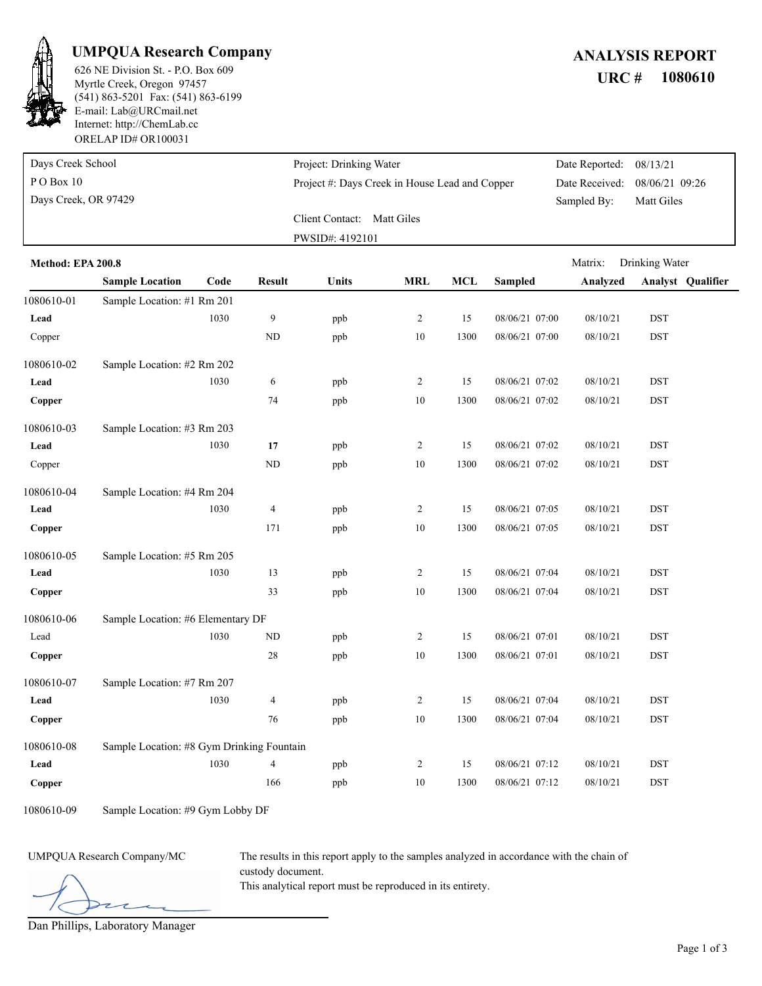

### **UMPQUA Research Company** *ANALYSIS REPORT*

ORELAP ID# OR100031 (541) 863-5201 Fax: (541) 863-6199 E-mail: Lab@URCmail.net Internet: http://ChemLab.cc Myrtle Creek, Oregon 97457

## 626 NE Division St. - P.O. Box 609 **URC # 1080610**

| Days Creek School    | Project: Drinking Water                        | Date Reported: 08/13/21 |                               |
|----------------------|------------------------------------------------|-------------------------|-------------------------------|
| $P$ O Box 10         | Project #: Days Creek in House Lead and Copper |                         | Date Received: 08/06/21 09:26 |
| Days Creek, OR 97429 |                                                | Sampled By:             | Matt Giles                    |
|                      | Client Contact: Matt Giles                     |                         |                               |
|                      | PWSID#: 4192101                                |                         |                               |

| Method: EPA 200.8 |                                           |      |                  |              |                |            |                | Matrix:<br>Drinking Water |            |                          |
|-------------------|-------------------------------------------|------|------------------|--------------|----------------|------------|----------------|---------------------------|------------|--------------------------|
|                   | <b>Sample Location</b>                    | Code | <b>Result</b>    | <b>Units</b> | <b>MRL</b>     | <b>MCL</b> | <b>Sampled</b> | Analyzed                  |            | <b>Analyst</b> Qualifier |
| 1080610-01        | Sample Location: #1 Rm 201                |      |                  |              |                |            |                |                           |            |                          |
| Lead              |                                           | 1030 | $\boldsymbol{9}$ | ppb          | $\overline{c}$ | 15         | 08/06/21 07:00 | 08/10/21                  | <b>DST</b> |                          |
| Copper            |                                           |      | ND               | ppb          | 10             | 1300       | 08/06/21 07:00 | 08/10/21                  | <b>DST</b> |                          |
| 1080610-02        | Sample Location: #2 Rm 202                |      |                  |              |                |            |                |                           |            |                          |
| Lead              |                                           | 1030 | 6                | ppb          | $\overline{c}$ | 15         | 08/06/21 07:02 | 08/10/21                  | <b>DST</b> |                          |
| Copper            |                                           |      | 74               | ppb          | $10\,$         | 1300       | 08/06/21 07:02 | 08/10/21                  | <b>DST</b> |                          |
| 1080610-03        | Sample Location: #3 Rm 203                |      |                  |              |                |            |                |                           |            |                          |
| Lead              |                                           | 1030 | 17               | ppb          | $\overline{c}$ | 15         | 08/06/21 07:02 | 08/10/21                  | <b>DST</b> |                          |
| Copper            |                                           |      | ND               | ppb          | $10\,$         | 1300       | 08/06/21 07:02 | 08/10/21                  | <b>DST</b> |                          |
| 1080610-04        | Sample Location: #4 Rm 204                |      |                  |              |                |            |                |                           |            |                          |
| Lead              |                                           | 1030 | $\overline{4}$   | ppb          | $\overline{c}$ | 15         | 08/06/21 07:05 | 08/10/21                  | <b>DST</b> |                          |
| Copper            |                                           |      | 171              | ppb          | 10             | 1300       | 08/06/21 07:05 | 08/10/21                  | <b>DST</b> |                          |
| 1080610-05        | Sample Location: #5 Rm 205                |      |                  |              |                |            |                |                           |            |                          |
| Lead              |                                           | 1030 | 13               | ppb          | $\overline{c}$ | 15         | 08/06/21 07:04 | 08/10/21                  | <b>DST</b> |                          |
| Copper            |                                           |      | 33               | ppb          | 10             | 1300       | 08/06/21 07:04 | 08/10/21                  | <b>DST</b> |                          |
| 1080610-06        | Sample Location: #6 Elementary DF         |      |                  |              |                |            |                |                           |            |                          |
| Lead              |                                           | 1030 | $\rm ND$         | ppb          | $\overline{c}$ | 15         | 08/06/21 07:01 | 08/10/21                  | <b>DST</b> |                          |
| Copper            |                                           |      | $28\,$           | ppb          | 10             | 1300       | 08/06/21 07:01 | 08/10/21                  | <b>DST</b> |                          |
| 1080610-07        | Sample Location: #7 Rm 207                |      |                  |              |                |            |                |                           |            |                          |
| Lead              |                                           | 1030 | $\overline{4}$   | ppb          | $\overline{c}$ | 15         | 08/06/21 07:04 | 08/10/21                  | <b>DST</b> |                          |
| Copper            |                                           |      | 76               | ppb          | 10             | 1300       | 08/06/21 07:04 | 08/10/21                  | <b>DST</b> |                          |
| 1080610-08        | Sample Location: #8 Gym Drinking Fountain |      |                  |              |                |            |                |                           |            |                          |
| Lead              |                                           | 1030 | $\overline{4}$   | ppb          | $\overline{2}$ | 15         | 08/06/21 07:12 | 08/10/21                  | <b>DST</b> |                          |
| Copper            |                                           |      | 166              | ppb          | 10             | 1300       | 08/06/21 07:12 | 08/10/21                  | <b>DST</b> |                          |

1080610-09 Sample Location: #9 Gym Lobby DF

UMPQUA Research Company/MC The results in this report apply to the samples analyzed in accordance with the chain of custody document.

This analytical report must be reproduced in its entirety.

Dan Phillips, Laboratory Manager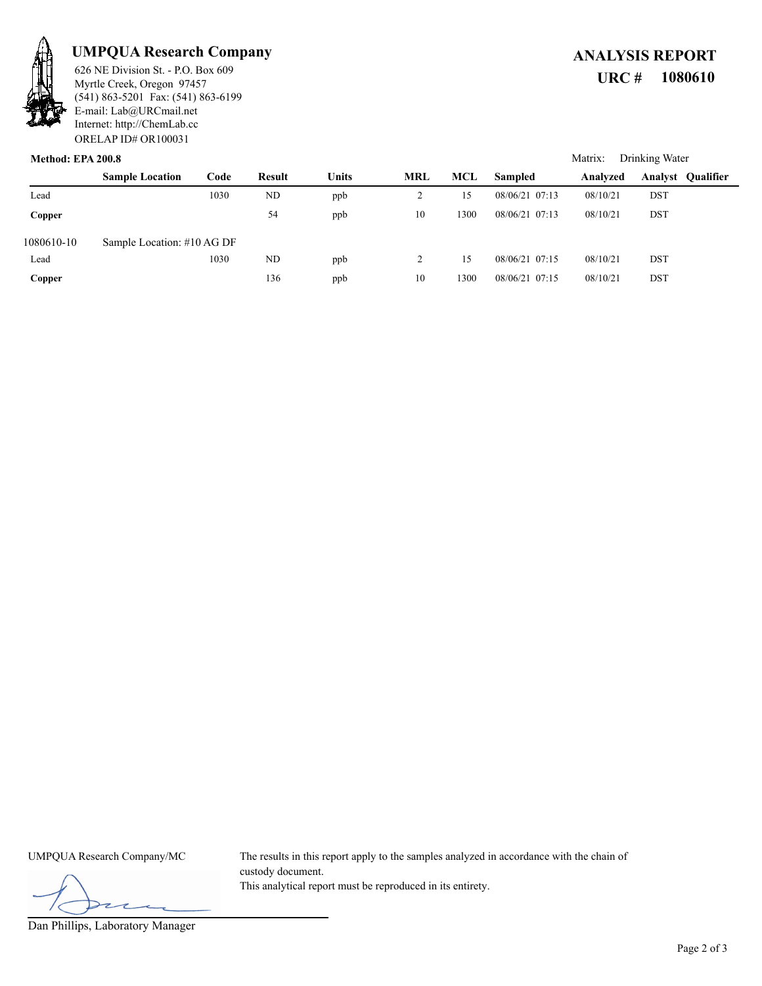

## **UMPQUA Research Company** *ANALYSIS REPORT*

ORELAP ID# OR100031 (541) 863-5201 Fax: (541) 863-6199 E-mail: Lab@URCmail.net Internet: http://ChemLab.cc Myrtle Creek, Oregon 97457

# 626 NE Division St. - P.O. Box 609 **URC # 1080610**

Matrix: Drinking Water

#### **Method: EPA 200.8**

|            | <b>Sample Location</b>     | Code | Result    | Units | <b>MRL</b>     | MCL  | <b>Sampled</b> | Analyzed | <b>Analyst Qualifier</b> |
|------------|----------------------------|------|-----------|-------|----------------|------|----------------|----------|--------------------------|
| Lead       |                            | 1030 | <b>ND</b> | ppb   | $\overline{ }$ | 15   | 08/06/21 07:13 | 08/10/21 | <b>DST</b>               |
| Copper     |                            |      | 54        | ppb   | 10             | 1300 | 08/06/21 07:13 | 08/10/21 | <b>DST</b>               |
| 1080610-10 | Sample Location: #10 AG DF |      |           |       |                |      |                |          |                          |
| Lead       |                            | 1030 | ND        | ppb   | 2              | 15   | 08/06/21 07:15 | 08/10/21 | <b>DST</b>               |
| Copper     |                            |      | 136       | ppb   | 10             | 1300 | 08/06/21 07:15 | 08/10/21 | <b>DST</b>               |

UMPQUA Research Company/MC The results in this report apply to the samples analyzed in accordance with the chain of custody document. This analytical report must be reproduced in its entirety.